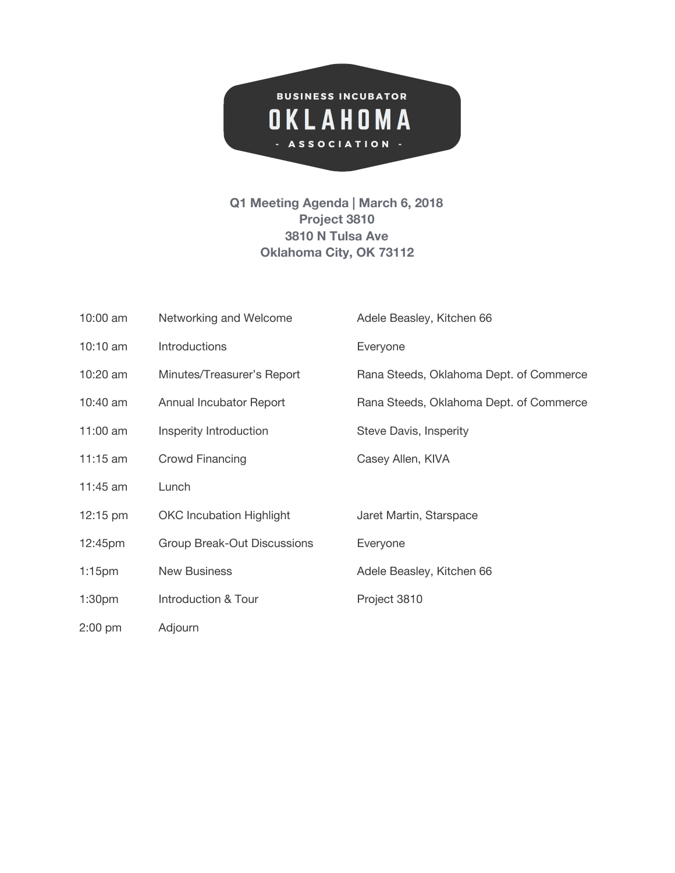

**Q1 Meeting Agenda | March 6, 2018 Project 3810 3810 N Tulsa Ave Oklahoma City, OK 73112**

| $10:00$ am         | Networking and Welcome          | Adele Beasley, Kitchen 66               |
|--------------------|---------------------------------|-----------------------------------------|
| 10:10 am           | Introductions                   | Everyone                                |
| 10:20 am           | Minutes/Treasurer's Report      | Rana Steeds, Oklahoma Dept. of Commerce |
| 10:40 am           | Annual Incubator Report         | Rana Steeds, Oklahoma Dept. of Commerce |
| 11:00 am           | Insperity Introduction          | Steve Davis, Insperity                  |
| $11:15$ am         | Crowd Financing                 | Casey Allen, KIVA                       |
| 11:45 am           | Lunch                           |                                         |
| $12:15 \text{ pm}$ | <b>OKC Incubation Highlight</b> | Jaret Martin, Starspace                 |
| 12:45pm            | Group Break-Out Discussions     | Everyone                                |
| $1:15$ pm          | <b>New Business</b>             | Adele Beasley, Kitchen 66               |
| 1:30 <sub>pm</sub> | Introduction & Tour             | Project 3810                            |
| $2:00$ pm          | Adjourn                         |                                         |